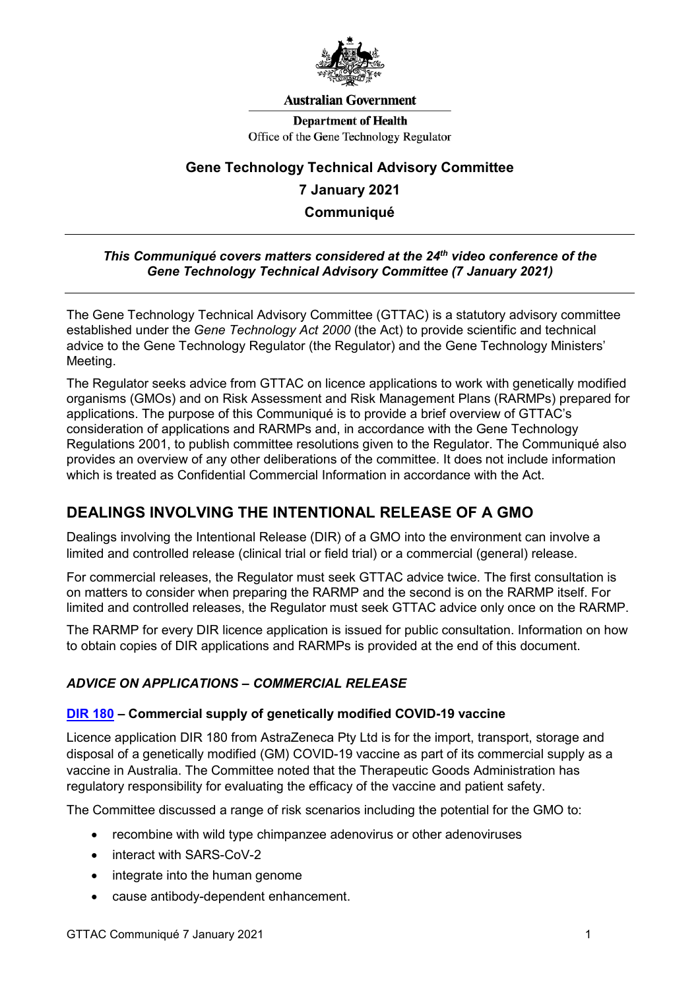

#### **Australian Government**

**Department of Health** Office of the Gene Technology Regulator

# **Gene Technology Technical Advisory Committee 7 January 2021 Communiqué**

## *This Communiqué covers matters considered at the 24th video conference of the Gene Technology Technical Advisory Committee (7 January 2021)*

The Gene Technology Technical Advisory Committee (GTTAC) is a statutory advisory committee established under the *Gene Technology Act 2000* (the Act) to provide scientific and technical advice to the Gene Technology Regulator (the Regulator) and the Gene Technology Ministers' Meeting.

The Regulator seeks advice from GTTAC on licence applications to work with genetically modified organisms (GMOs) and on Risk Assessment and Risk Management Plans (RARMPs) prepared for applications. The purpose of this Communiqué is to provide a brief overview of GTTAC's consideration of applications and RARMPs and, in accordance with the Gene Technology Regulations 2001, to publish committee resolutions given to the Regulator. The Communiqué also provides an overview of any other deliberations of the committee. It does not include information which is treated as Confidential Commercial Information in accordance with the Act.

# **DEALINGS INVOLVING THE INTENTIONAL RELEASE OF A GMO**

Dealings involving the Intentional Release (DIR) of a GMO into the environment can involve a limited and controlled release (clinical trial or field trial) or a commercial (general) release.

For commercial releases, the Regulator must seek GTTAC advice twice. The first consultation is on matters to consider when preparing the RARMP and the second is on the RARMP itself. For limited and controlled releases, the Regulator must seek GTTAC advice only once on the RARMP.

The RARMP for every DIR licence application is issued for public consultation. Information on how to obtain copies of DIR applications and RARMPs is provided at the end of this document.

# *ADVICE ON APPLICATIONS – COMMERCIAL RELEASE*

## **[DIR 180](http://www.ogtr.gov.au/internet/ogtr/publishing.nsf/Content/dir180) – Commercial supply of genetically modified COVID-19 vaccine**

Licence application DIR 180 from AstraZeneca Pty Ltd is for the import, transport, storage and disposal of a genetically modified (GM) COVID-19 vaccine as part of its commercial supply as a vaccine in Australia. The Committee noted that the Therapeutic Goods Administration has regulatory responsibility for evaluating the efficacy of the vaccine and patient safety.

The Committee discussed a range of risk scenarios including the potential for the GMO to:

- recombine with wild type chimpanzee adenovirus or other adenoviruses
- interact with SARS-CoV-2
- integrate into the human genome
- cause antibody-dependent enhancement.